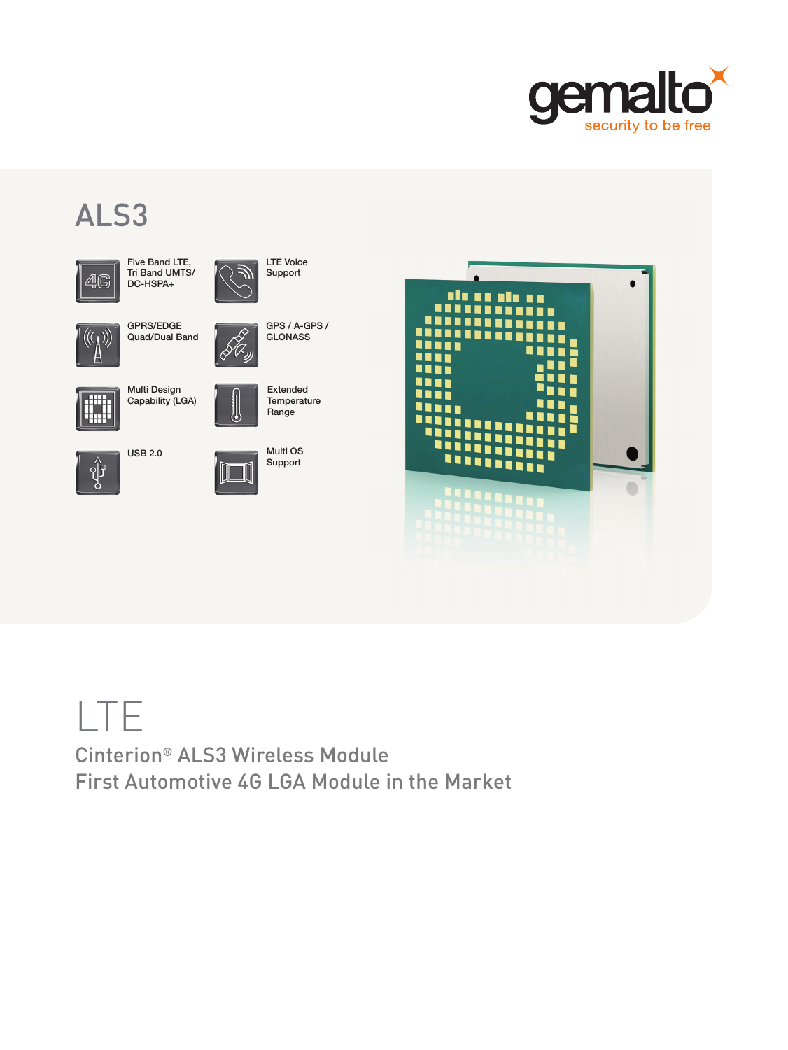

# ALS3





LTE Voice Support



GPRS/EDGE Quad/Dual Band

DC-HSPA+



 $\oint$ 

Multi Design Capability (LGA)

USB 2.0



Extended **Temperature** Range

GPS / A-GPS / **GLONASS** 









Cinterion**®** ALS3 Wireless Module First Automotive 4G LGA Module in the Market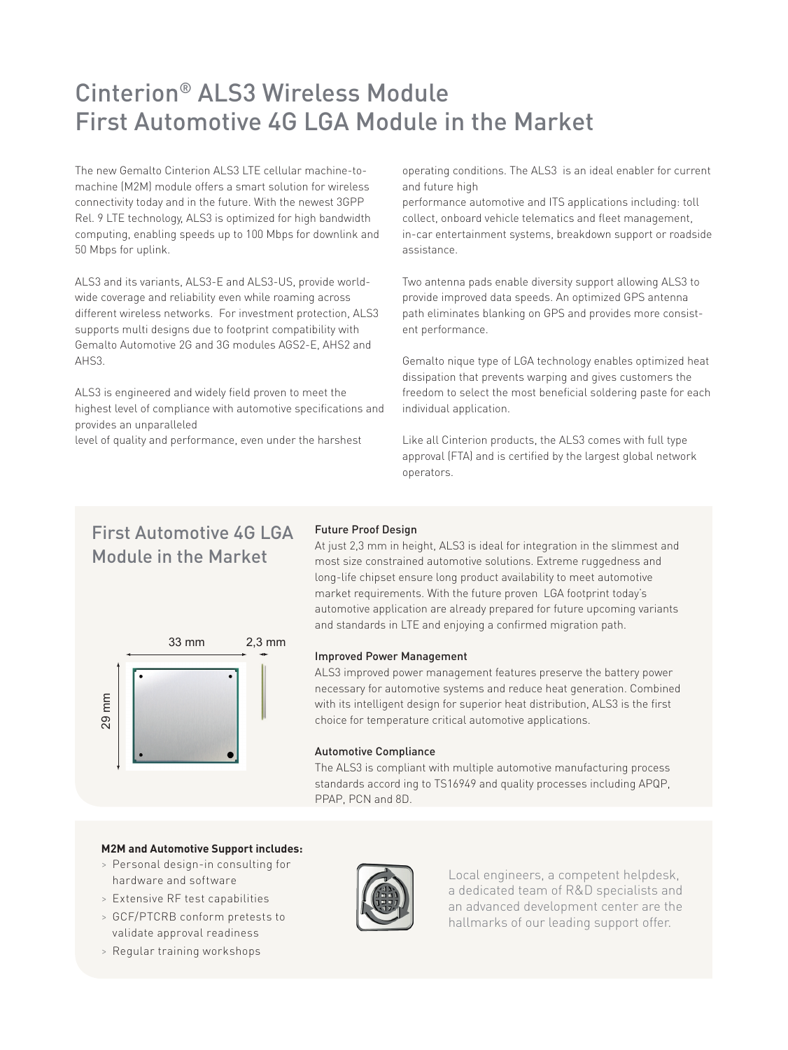## Cinterion® ALS3 Wireless Module First Automotive 4G LGA Module in the Market

The new Gemalto Cinterion ALS3 LTE cellular machine-tomachine (M2M) module offers a smart solution for wireless connectivity today and in the future. With the newest 3GPP Rel. 9 LTE technology, ALS3 is optimized for high bandwidth computing, enabling speeds up to 100 Mbps for downlink and 50 Mbps for uplink.

ALS3 and its variants, ALS3-E and ALS3-US, provide worldwide coverage and reliability even while roaming across different wireless networks. For investment protection, ALS3 supports multi designs due to footprint compatibility with Gemalto Automotive 2G and 3G modules AGS2-E, AHS2 and AHS3.

ALS3 is engineered and widely field proven to meet the highest level of compliance with automotive specifications and provides an unparalleled

level of quality and performance, even under the harshest

operating conditions. The ALS3 is an ideal enabler for current and future high

performance automotive and ITS applications including: toll collect, onboard vehicle telematics and fleet management, in-car entertainment systems, breakdown support or roadside assistance.

Two antenna pads enable diversity support allowing ALS3 to provide improved data speeds. An optimized GPS antenna path eliminates blanking on GPS and provides more consistent performance.

Gemalto nique type of LGA technology enables optimized heat dissipation that prevents warping and gives customers the freedom to select the most beneficial soldering paste for each individual application.

Like all Cinterion products, the ALS3 comes with full type approval (FTA) and is certified by the largest global network operators.

### First Automotive 4G LGA Module in the Market



### Future Proof Design

At just 2,3 mm in height, ALS3 is ideal for integration in the slimmest and most size constrained automotive solutions. Extreme ruggedness and long-life chipset ensure long product availability to meet automotive market requirements. With the future proven LGA footprint today's automotive application are already prepared for future upcoming variants and standards in LTE and enjoying a confirmed migration path.

#### Improved Power Management

ALS3 improved power management features preserve the battery power necessary for automotive systems and reduce heat generation. Combined with its intelligent design for superior heat distribution, ALS3 is the first choice for temperature critical automotive applications.

#### Automotive Compliance

The ALS3 is compliant with multiple automotive manufacturing process standards accord ing to TS16949 and quality processes including APQP, PPAP, PCN and 8D.

#### **M2M and Automotive Support includes:**

- > Personal design-in consulting for hardware and software
- > Extensive RF test capabilities
- > GCF/PTCRB conform pretests to validate approval readiness
- 



Local engineers, a competent helpdesk, a dedicated team of R&D specialists and an advanced development center are the hallmarks of our leading support offer.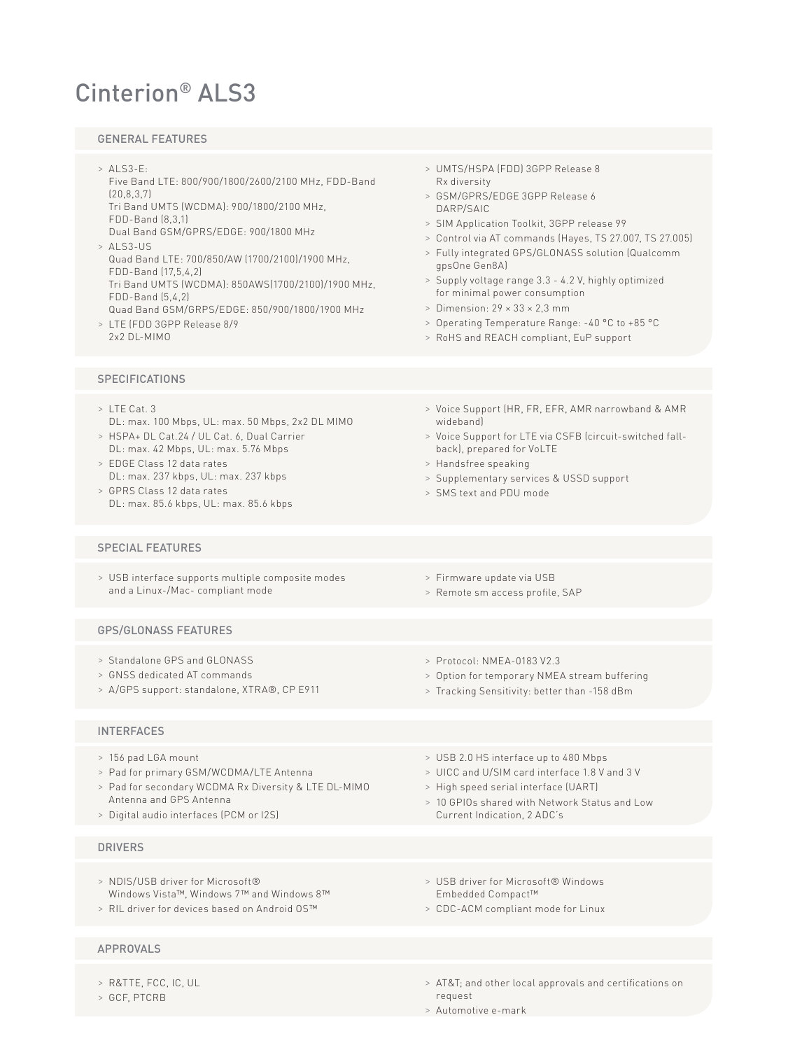# Cinterion® ALS3

#### GENERAL FEATURES

| $>$ ALS3-E:<br>Five Band LTE: 800/900/1800/2600/2100 MHz, FDD-Band<br>[20, 8, 3, 7]<br>Tri Band UMTS (WCDMA): 900/1800/2100 MHz,<br>FDD-Band (8,3,1)<br>Dual Band GSM/GPRS/EDGE: 900/1800 MHz<br>$> AI$ S3-US<br>Quad Band LTE: 700/850/AW (1700/2100)/1900 MHz,<br>FDD-Band (17,5,4,2)<br>Tri Band UMTS (WCDMA): 850AWS(1700/2100)/1900 MHz,<br>FDD-Band (5,4,2)<br>Quad Band GSM/GRPS/EDGE: 850/900/1800/1900 MHz<br>> LTE (FDD 3GPP Release 8/9<br>2x2 DL-MIMO | > UMTS/HSPA (FDD) 3GPP Release 8<br>Rx diversity<br>> GSM/GPRS/EDGE 3GPP Release 6<br>DARP/SAIC<br>> SIM Application Toolkit, 3GPP release 99<br>> Control via AT commands (Hayes, TS 27.007, TS 27.005)<br>> Fully integrated GPS/GLONASS solution (Qualcomm<br>gpsOne Gen8A)<br>> Supply voltage range 3.3 - 4.2 V, highly optimized<br>for minimal power consumption<br>> Dimension: $29 \times 33 \times 2,3$ mm<br>> Operating Temperature Range: -40 °C to +85 °C<br>> RoHS and REACH compliant, EuP support |
|-------------------------------------------------------------------------------------------------------------------------------------------------------------------------------------------------------------------------------------------------------------------------------------------------------------------------------------------------------------------------------------------------------------------------------------------------------------------|--------------------------------------------------------------------------------------------------------------------------------------------------------------------------------------------------------------------------------------------------------------------------------------------------------------------------------------------------------------------------------------------------------------------------------------------------------------------------------------------------------------------|
| <b>SPECIFICATIONS</b>                                                                                                                                                                                                                                                                                                                                                                                                                                             |                                                                                                                                                                                                                                                                                                                                                                                                                                                                                                                    |
| $>$ LTE Cat. 3<br>DL: max. 100 Mbps, UL: max. 50 Mbps, 2x2 DL MIMO<br>> HSPA+ DL Cat.24 / UL Cat. 6, Dual Carrier<br>DL: max. 42 Mbps, UL: max. 5.76 Mbps<br>> EDGE Class 12 data rates<br>DL: max. 237 kbps, UL: max. 237 kbps<br>> GPRS Class 12 data rates<br>DL: max. 85.6 kbps, UL: max. 85.6 kbps                                                                                                                                                           | > Voice Support (HR, FR, EFR, AMR narrowband & AMR<br>widebandl<br>> Voice Support for LTE via CSFB (circuit-switched fall-<br>back), prepared for VoLTE<br>> Handsfree speaking<br>> Supplementary services & USSD support<br>> SMS text and PDU mode                                                                                                                                                                                                                                                             |
| <b>SPECIAL FEATURES</b>                                                                                                                                                                                                                                                                                                                                                                                                                                           |                                                                                                                                                                                                                                                                                                                                                                                                                                                                                                                    |
| > USB interface supports multiple composite modes<br>and a Linux-/Mac- compliant mode                                                                                                                                                                                                                                                                                                                                                                             | > Firmware update via USB<br>> Remote sm access profile, SAP                                                                                                                                                                                                                                                                                                                                                                                                                                                       |
| <b>GPS/GLONASS FEATURES</b>                                                                                                                                                                                                                                                                                                                                                                                                                                       |                                                                                                                                                                                                                                                                                                                                                                                                                                                                                                                    |
| > Standalone GPS and GLONASS<br>> GNSS dedicated AT commands<br>> A/GPS support: standalone, XTRA®, CP E911                                                                                                                                                                                                                                                                                                                                                       | > Protocol: NMEA-0183 V2.3<br>> Option for temporary NMEA stream buffering<br>> Tracking Sensitivity: better than -158 dBm                                                                                                                                                                                                                                                                                                                                                                                         |
| <b>INTERFACES</b>                                                                                                                                                                                                                                                                                                                                                                                                                                                 |                                                                                                                                                                                                                                                                                                                                                                                                                                                                                                                    |
| > 156 pad LGA mount<br>> Pad for primary GSM/WCDMA/LTE Antenna<br>> Pad for secondary WCDMA Rx Diversity & LTE DL-MIMO<br>Antenna and GPS Antenna<br>> Digital audio interfaces (PCM or I2S)                                                                                                                                                                                                                                                                      | > USB 2.0 HS interface up to 480 Mbps<br>> UICC and U/SIM card interface 1.8 V and 3 V<br>> High speed serial interface (UART)<br>> 10 GPIOs shared with Network Status and Low<br>Current Indication, 2 ADC's                                                                                                                                                                                                                                                                                                     |
| <b>DRIVERS</b>                                                                                                                                                                                                                                                                                                                                                                                                                                                    |                                                                                                                                                                                                                                                                                                                                                                                                                                                                                                                    |
| > NDIS/USB driver for Microsoft®<br>Windows Vista™, Windows 7™ and Windows 8™<br>> RIL driver for devices based on Android OSTM                                                                                                                                                                                                                                                                                                                                   | > USB driver for Microsoft® Windows<br>Embedded Compact™<br>> CDC-ACM compliant mode for Linux                                                                                                                                                                                                                                                                                                                                                                                                                     |

- APPROVALS
- > R&TTE, FCC, IC, UL
- > GCF, PTCRB
- > AT&T; and other local approvals and certifications on request
- > Automotive e-mark